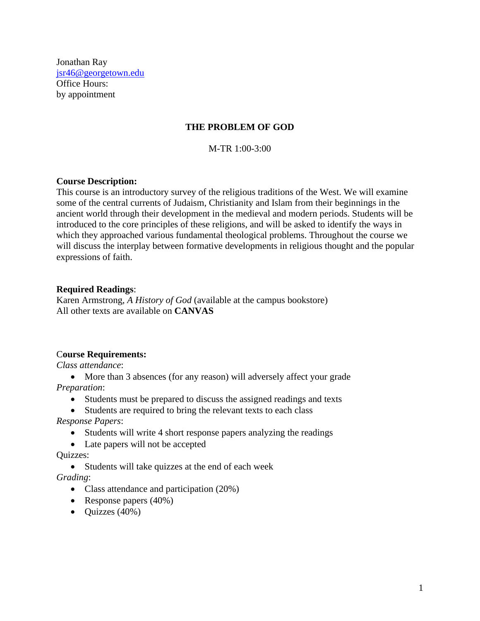Jonathan Ray [jsr46@georgetown.edu](mailto:jsr46@georgetown.edu) Office Hours: by appointment

#### **THE PROBLEM OF GOD**

M-TR 1:00-3:00

#### **Course Description:**

This course is an introductory survey of the religious traditions of the West. We will examine some of the central currents of Judaism, Christianity and Islam from their beginnings in the ancient world through their development in the medieval and modern periods. Students will be introduced to the core principles of these religions, and will be asked to identify the ways in which they approached various fundamental theological problems. Throughout the course we will discuss the interplay between formative developments in religious thought and the popular expressions of faith.

#### **Required Readings**:

Karen Armstrong, *A History of God* (available at the campus bookstore) All other texts are available on **CANVAS**

#### C**ourse Requirements:**

*Class attendance*:

• More than 3 absences (for any reason) will adversely affect your grade *Preparation*:

- Students must be prepared to discuss the assigned readings and texts
- Students are required to bring the relevant texts to each class

*Response Papers*:

• Students will write 4 short response papers analyzing the readings

• Late papers will not be accepted

Quizzes:

• Students will take quizzes at the end of each week

*Grading*:

- Class attendance and participation (20%)
- Response papers (40%)
- $\bullet$  Quizzes (40%)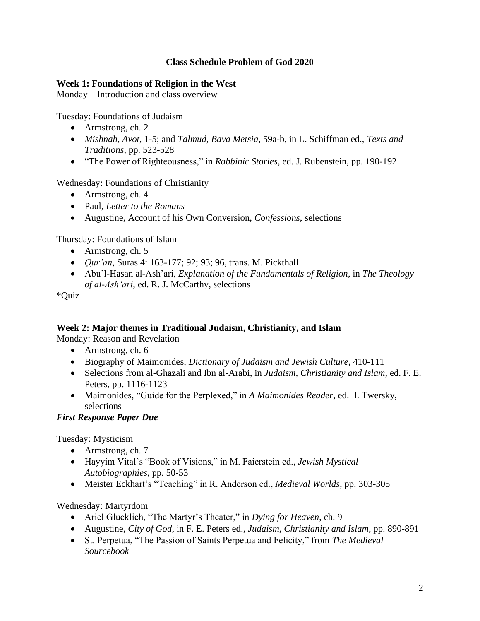## **Class Schedule Problem of God 2020**

## **Week 1: Foundations of Religion in the West**

Monday – Introduction and class overview

Tuesday: Foundations of Judaism

- Armstrong, ch. 2
- *Mishnah, Avot*, 1-5; and *Talmud*, *Bava Metsia*, 59a-b, in L. Schiffman ed., *Texts and Traditions*, pp. 523-528
- "The Power of Righteousness," in *Rabbinic Stories*, ed. J. Rubenstein, pp. 190-192

Wednesday: Foundations of Christianity

- Armstrong, ch. 4
- Paul, *Letter to the Romans*
- Augustine, Account of his Own Conversion, *Confessions*, selections

Thursday: Foundations of Islam

- Armstrong, ch. 5
- *Qur'an*, Suras 4: 163-177; 92; 93; 96, trans. M. Pickthall
- Abu'l-Hasan al-Ash'ari, *Explanation of the Fundamentals of Religion*, in *The Theology of al-Ash'ari*, ed. R. J. McCarthy, selections

\*Quiz

## **Week 2: Major themes in Traditional Judaism, Christianity, and Islam**

Monday: Reason and Revelation

- Armstrong, ch. 6
- Biography of Maimonides, *Dictionary of Judaism and Jewish Culture*, 410-111
- Selections from al-Ghazali and Ibn al-Arabi, in *Judaism, Christianity and Islam*, ed. F. E. Peters, pp. 1116-1123
- Maimonides, "Guide for the Perplexed," in *A Maimonides Reader*, ed. I. Twersky, selections

## *First Response Paper Due*

Tuesday: Mysticism

- Armstrong, ch. 7
- Hayyim Vital's "Book of Visions," in M. Faierstein ed., *Jewish Mystical Autobiographies*, pp. 50-53
- Meister Eckhart's "Teaching" in R. Anderson ed., *Medieval Worlds*, pp. 303-305

Wednesday: Martyrdom

- Ariel Glucklich, "The Martyr's Theater," in *Dying for Heaven*, ch. 9
- Augustine, *City of God*, in F. E. Peters ed., *Judaism, Christianity and Islam*, pp. 890-891
- St. Perpetua, "The Passion of Saints Perpetua and Felicity," from *The Medieval Sourcebook*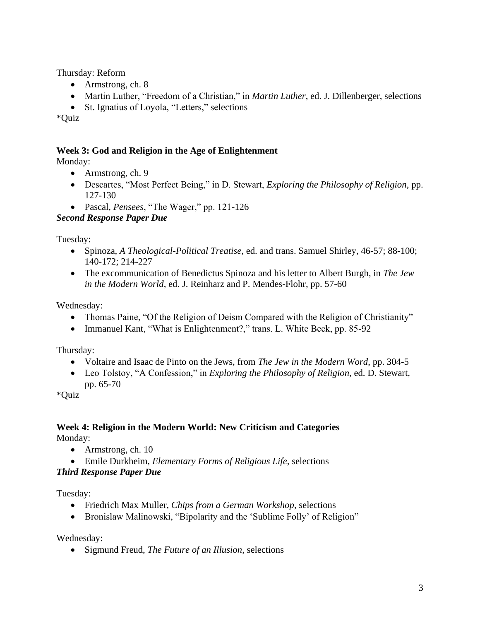Thursday: Reform

- Armstrong, ch. 8
- Martin Luther, "Freedom of a Christian," in *Martin Luther*, ed. J. Dillenberger, selections
- St. Ignatius of Loyola, "Letters," selections

\*Quiz

## **Week 3: God and Religion in the Age of Enlightenment**

Monday:

- Armstrong, ch. 9
- Descartes, "Most Perfect Being," in D. Stewart, *Exploring the Philosophy of Religion*, pp. 127-130
- Pascal, *Pensees*, "The Wager," pp. 121-126

## *Second Response Paper Due*

Tuesday:

- Spinoza, *A Theological-Political Treatise*, ed. and trans. Samuel Shirley, 46-57; 88-100; 140-172; 214-227
- The excommunication of Benedictus Spinoza and his letter to Albert Burgh, in *The Jew in the Modern World*, ed. J. Reinharz and P. Mendes-Flohr, pp. 57-60

Wednesday:

- Thomas Paine, "Of the Religion of Deism Compared with the Religion of Christianity"
- Immanuel Kant, "What is Enlightenment?," trans. L. White Beck, pp. 85-92

Thursday:

- Voltaire and Isaac de Pinto on the Jews, from *The Jew in the Modern Word*, pp. 304-5
- Leo Tolstoy, "A Confession," in *Exploring the Philosophy of Religion*, ed. D. Stewart, pp. 65-70

\*Quiz

## **Week 4: Religion in the Modern World: New Criticism and Categories**  Monday:

- Armstrong, ch. 10
- Emile Durkheim, *Elementary Forms of Religious Life*, selections

# *Third Response Paper Due*

Tuesday:

- Friedrich Max Muller, *Chips from a German Workshop*, selections
- Bronislaw Malinowski, "Bipolarity and the 'Sublime Folly' of Religion"

Wednesday:

• Sigmund Freud, *The Future of an Illusion*, selections